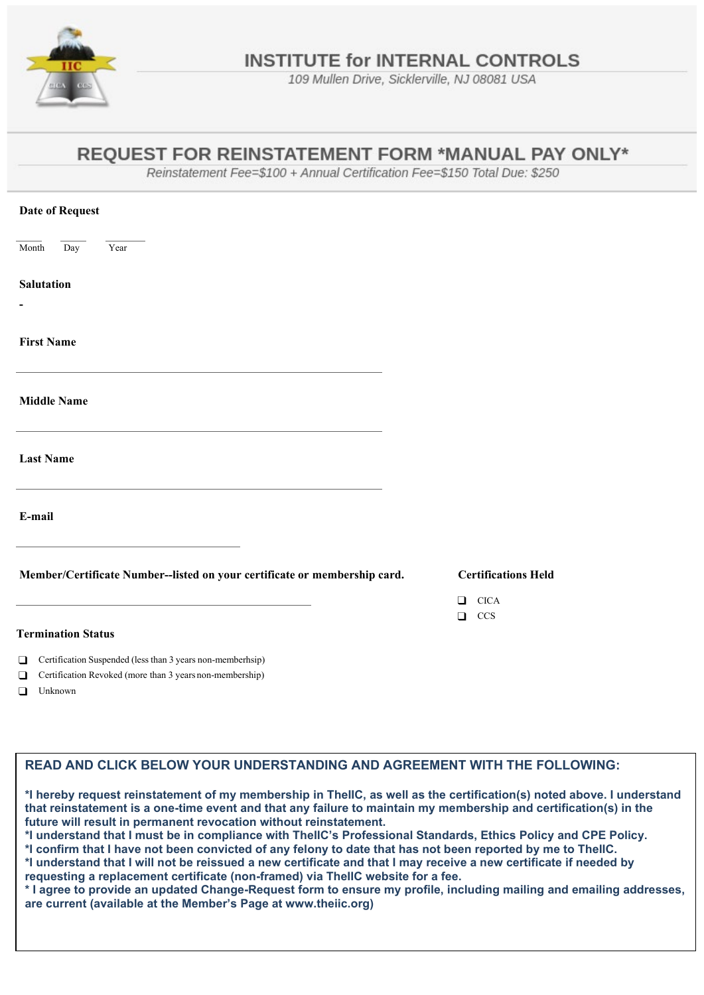

109 Mullen Drive, Sicklerville, NJ 08081 USA

## **REOUEST FOR REINSTATEMENT FORM \*MANUAL PAY ONLY\***

Reinstatement Fee=\$100 + Annual Certification Fee=\$150 Total Due: \$250

| <b>Date of Request</b>                                                                    |                                        |
|-------------------------------------------------------------------------------------------|----------------------------------------|
| $\overline{Day}$<br>Year<br>Month                                                         |                                        |
| <b>Salutation</b>                                                                         |                                        |
|                                                                                           |                                        |
| <b>First Name</b>                                                                         |                                        |
| <b>Middle Name</b>                                                                        |                                        |
| the control of the control of the control of the control of the control of the control of |                                        |
| <b>Last Name</b>                                                                          |                                        |
|                                                                                           |                                        |
| E-mail                                                                                    |                                        |
|                                                                                           |                                        |
| Member/Certificate Number--listed on your certificate or membership card.                 | <b>Certifications Held</b>             |
|                                                                                           | <b>CICA</b><br>$\Box$<br>CCS<br>$\Box$ |
| <b>Termination Status</b>                                                                 |                                        |
| Certification Suspended (less than 3 years non-memberhsip)<br>$\Box$                      |                                        |
| Certification Revoked (more than 3 years non-membership)<br>$\Box$<br>$\Box$ Unknown      |                                        |

## **READ AND CLICK BELOW YOUR UNDERSTANDING AND AGREEMENT WITH THE FOLLOWING:**

**\*I hereby request reinstatement of my membership in TheIIC, as well as the certification(s) noted above. I understand that reinstatement is a one-time event and that any failure to maintain my membership and certification(s) in the future will result in permanent revocation without reinstatement.**

**\*I understand that I must be in compliance with TheIIC's Professional Standards, Ethics Policy and CPE Policy.**

**\*I confirm that I have not been convicted of any felony to date that has not been reported by me to TheIIC.**

**\*I understand that I will not be reissued a new certificate and that I may receive a new certificate if needed by requesting a replacement certificate (non-framed) via TheIIC website for a fee.**

**\* I agree to provide an updated Change-Request form to ensure my profile, including mailing and emailing addresses, are current (available at the Member's Page at www.theiic.org)**